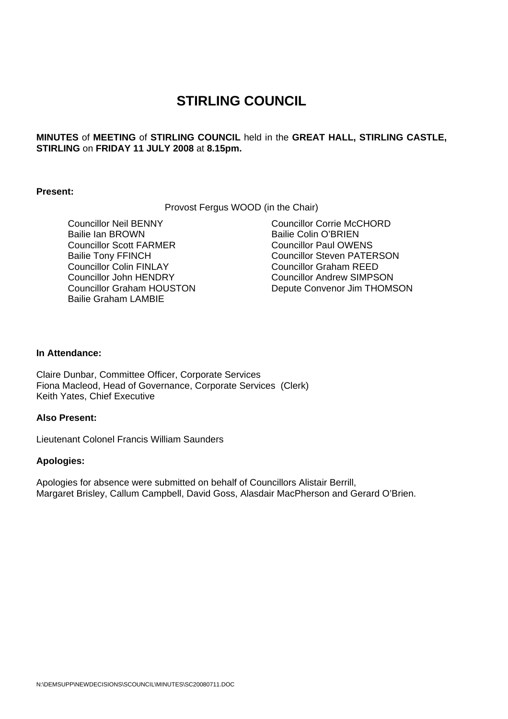# **STIRLING COUNCIL**

**MINUTES** of **MEETING** of **STIRLING COUNCIL** held in the **GREAT HALL, STIRLING CASTLE, STIRLING** on **FRIDAY 11 JULY 2008** at **8.15pm.** 

#### **Present:**

Provost Fergus WOOD (in the Chair)

 Councillor Neil BENNY Bailie Ian BROWN Councillor Scott FARMER Bailie Tony FFINCH Councillor Colin FINLAY Councillor John HENDRY Councillor Graham HOUSTON Bailie Graham LAMBIE

Councillor Corrie McCHORD Bailie Colin O'BRIEN Councillor Paul OWENS Councillor Steven PATERSON Councillor Graham REED Councillor Andrew SIMPSON Depute Convenor Jim THOMSON

## **In Attendance:**

Claire Dunbar, Committee Officer, Corporate Services Fiona Macleod, Head of Governance, Corporate Services (Clerk) Keith Yates, Chief Executive

## **Also Present:**

Lieutenant Colonel Francis William Saunders

#### **Apologies:**

Apologies for absence were submitted on behalf of Councillors Alistair Berrill, Margaret Brisley, Callum Campbell, David Goss, Alasdair MacPherson and Gerard O'Brien.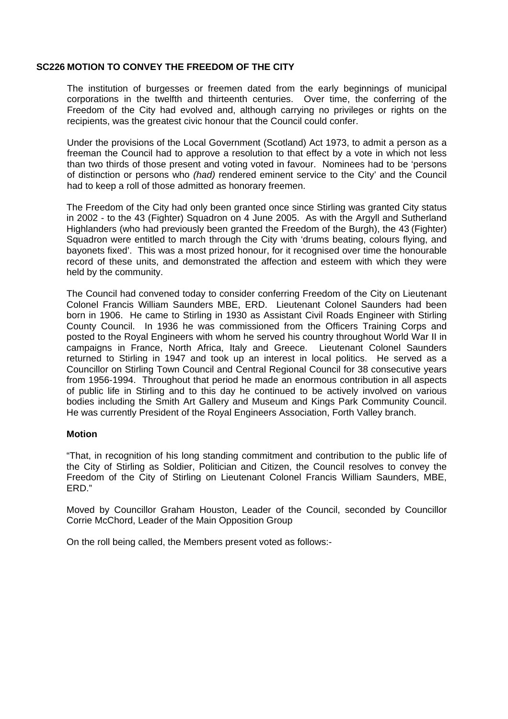#### **SC226 MOTION TO CONVEY THE FREEDOM OF THE CITY**

The institution of burgesses or freemen dated from the early beginnings of municipal corporations in the twelfth and thirteenth centuries. Over time, the conferring of the Freedom of the City had evolved and, although carrying no privileges or rights on the recipients, was the greatest civic honour that the Council could confer.

Under the provisions of the Local Government (Scotland) Act 1973, to admit a person as a freeman the Council had to approve a resolution to that effect by a vote in which not less than two thirds of those present and voting voted in favour. Nominees had to be 'persons of distinction or persons who *(had)* rendered eminent service to the City' and the Council had to keep a roll of those admitted as honorary freemen.

The Freedom of the City had only been granted once since Stirling was granted City status in 2002 - to the 43 (Fighter) Squadron on 4 June 2005. As with the Argyll and Sutherland Highlanders (who had previously been granted the Freedom of the Burgh), the 43 (Fighter) Squadron were entitled to march through the City with 'drums beating, colours flying, and bayonets fixed'. This was a most prized honour, for it recognised over time the honourable record of these units, and demonstrated the affection and esteem with which they were held by the community.

The Council had convened today to consider conferring Freedom of the City on Lieutenant Colonel Francis William Saunders MBE, ERD. Lieutenant Colonel Saunders had been born in 1906. He came to Stirling in 1930 as Assistant Civil Roads Engineer with Stirling County Council. In 1936 he was commissioned from the Officers Training Corps and posted to the Royal Engineers with whom he served his country throughout World War II in campaigns in France, North Africa, Italy and Greece. Lieutenant Colonel Saunders returned to Stirling in 1947 and took up an interest in local politics. He served as a Councillor on Stirling Town Council and Central Regional Council for 38 consecutive years from 1956-1994. Throughout that period he made an enormous contribution in all aspects of public life in Stirling and to this day he continued to be actively involved on various bodies including the Smith Art Gallery and Museum and Kings Park Community Council. He was currently President of the Royal Engineers Association, Forth Valley branch.

## **Motion**

"That, in recognition of his long standing commitment and contribution to the public life of the City of Stirling as Soldier, Politician and Citizen, the Council resolves to convey the Freedom of the City of Stirling on Lieutenant Colonel Francis William Saunders, MBE, ERD."

Moved by Councillor Graham Houston, Leader of the Council, seconded by Councillor Corrie McChord, Leader of the Main Opposition Group

On the roll being called, the Members present voted as follows:-